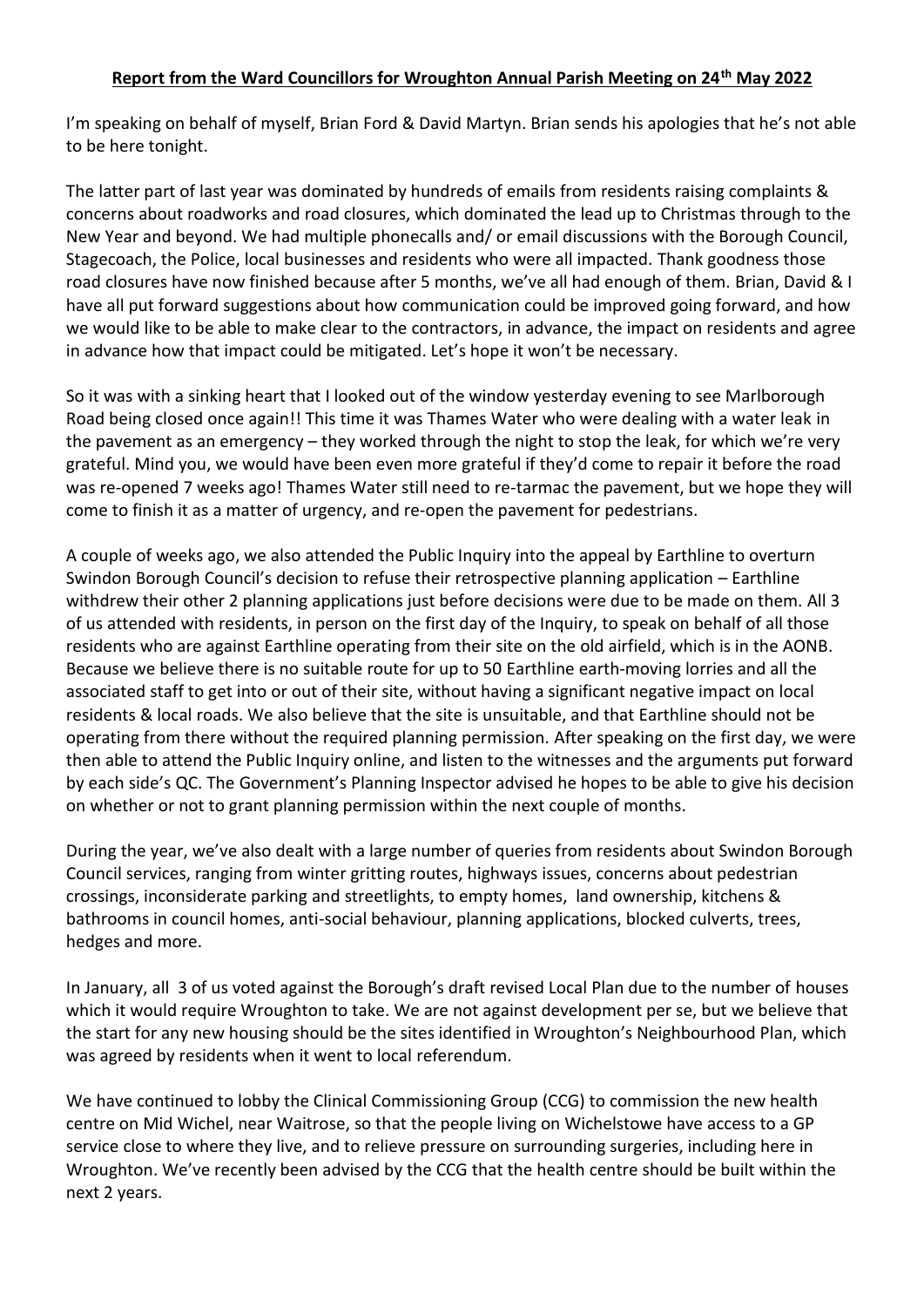## **Report from the Ward Councillors for Wroughton Annual Parish Meeting on 24th May 2022**

I'm speaking on behalf of myself, Brian Ford & David Martyn. Brian sends his apologies that he's not able to be here tonight.

The latter part of last year was dominated by hundreds of emails from residents raising complaints & concerns about roadworks and road closures, which dominated the lead up to Christmas through to the New Year and beyond. We had multiple phonecalls and/ or email discussions with the Borough Council, Stagecoach, the Police, local businesses and residents who were all impacted. Thank goodness those road closures have now finished because after 5 months, we've all had enough of them. Brian, David & I have all put forward suggestions about how communication could be improved going forward, and how we would like to be able to make clear to the contractors, in advance, the impact on residents and agree in advance how that impact could be mitigated. Let's hope it won't be necessary.

So it was with a sinking heart that I looked out of the window yesterday evening to see Marlborough Road being closed once again!! This time it was Thames Water who were dealing with a water leak in the pavement as an emergency – they worked through the night to stop the leak, for which we're very grateful. Mind you, we would have been even more grateful if they'd come to repair it before the road was re-opened 7 weeks ago! Thames Water still need to re-tarmac the pavement, but we hope they will come to finish it as a matter of urgency, and re-open the pavement for pedestrians.

A couple of weeks ago, we also attended the Public Inquiry into the appeal by Earthline to overturn Swindon Borough Council's decision to refuse their retrospective planning application – Earthline withdrew their other 2 planning applications just before decisions were due to be made on them. All 3 of us attended with residents, in person on the first day of the Inquiry, to speak on behalf of all those residents who are against Earthline operating from their site on the old airfield, which is in the AONB. Because we believe there is no suitable route for up to 50 Earthline earth-moving lorries and all the associated staff to get into or out of their site, without having a significant negative impact on local residents & local roads. We also believe that the site is unsuitable, and that Earthline should not be operating from there without the required planning permission. After speaking on the first day, we were then able to attend the Public Inquiry online, and listen to the witnesses and the arguments put forward by each side's QC. The Government's Planning Inspector advised he hopes to be able to give his decision on whether or not to grant planning permission within the next couple of months.

During the year, we've also dealt with a large number of queries from residents about Swindon Borough Council services, ranging from winter gritting routes, highways issues, concerns about pedestrian crossings, inconsiderate parking and streetlights, to empty homes, land ownership, kitchens & bathrooms in council homes, anti-social behaviour, planning applications, blocked culverts, trees, hedges and more.

In January, all 3 of us voted against the Borough's draft revised Local Plan due to the number of houses which it would require Wroughton to take. We are not against development per se, but we believe that the start for any new housing should be the sites identified in Wroughton's Neighbourhood Plan, which was agreed by residents when it went to local referendum.

We have continued to lobby the Clinical Commissioning Group (CCG) to commission the new health centre on Mid Wichel, near Waitrose, so that the people living on Wichelstowe have access to a GP service close to where they live, and to relieve pressure on surrounding surgeries, including here in Wroughton. We've recently been advised by the CCG that the health centre should be built within the next 2 years.